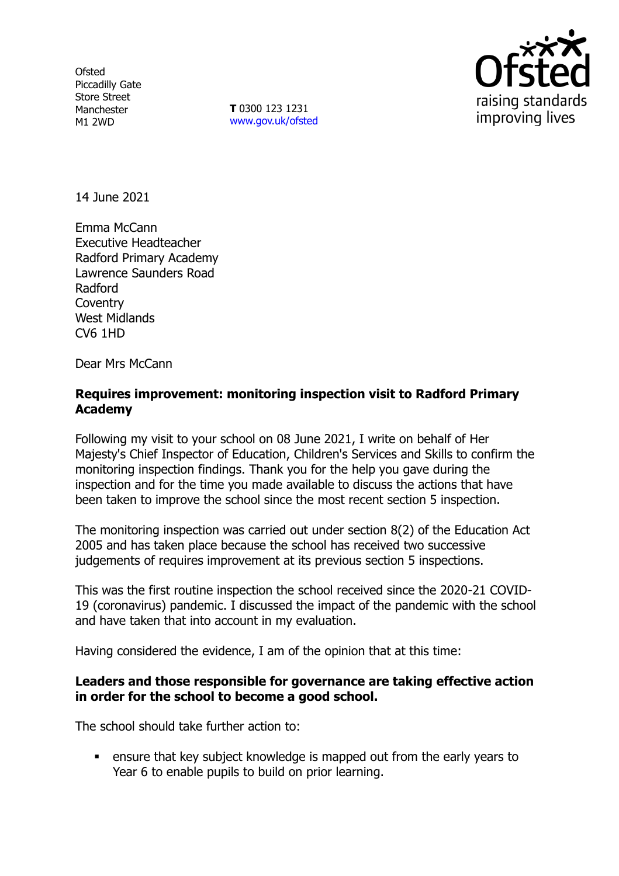**Ofsted** Piccadilly Gate Store Street Manchester M1 2WD

**T** 0300 123 1231 [www.gov.uk/ofsted](http://www.gov.uk/ofsted)



14 June 2021

Emma McCann Executive Headteacher Radford Primary Academy Lawrence Saunders Road Radford **Coventry** West Midlands CV6 1HD

Dear Mrs McCann

## **Requires improvement: monitoring inspection visit to Radford Primary Academy**

Following my visit to your school on 08 June 2021, I write on behalf of Her Majesty's Chief Inspector of Education, Children's Services and Skills to confirm the monitoring inspection findings. Thank you for the help you gave during the inspection and for the time you made available to discuss the actions that have been taken to improve the school since the most recent section 5 inspection.

The monitoring inspection was carried out under section 8(2) of the Education Act 2005 and has taken place because the school has received two successive judgements of requires improvement at its previous section 5 inspections.

This was the first routine inspection the school received since the 2020-21 COVID-19 (coronavirus) pandemic. I discussed the impact of the pandemic with the school and have taken that into account in my evaluation.

Having considered the evidence, I am of the opinion that at this time:

## **Leaders and those responsible for governance are taking effective action in order for the school to become a good school.**

The school should take further action to:

 ensure that key subject knowledge is mapped out from the early years to Year 6 to enable pupils to build on prior learning.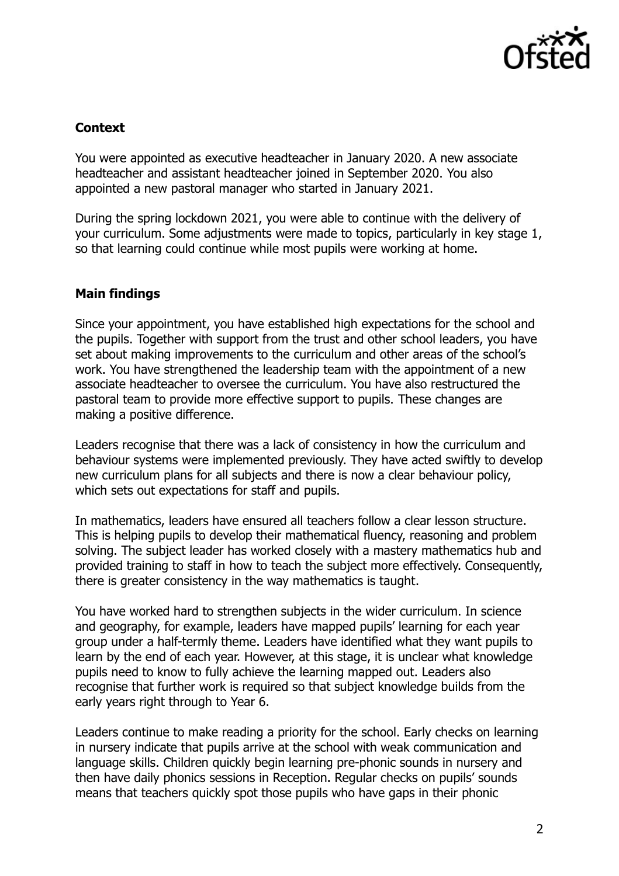

## **Context**

You were appointed as executive headteacher in January 2020. A new associate headteacher and assistant headteacher joined in September 2020. You also appointed a new pastoral manager who started in January 2021.

During the spring lockdown 2021, you were able to continue with the delivery of your curriculum. Some adjustments were made to topics, particularly in key stage 1, so that learning could continue while most pupils were working at home.

# **Main findings**

Since your appointment, you have established high expectations for the school and the pupils. Together with support from the trust and other school leaders, you have set about making improvements to the curriculum and other areas of the school's work. You have strengthened the leadership team with the appointment of a new associate headteacher to oversee the curriculum. You have also restructured the pastoral team to provide more effective support to pupils. These changes are making a positive difference.

Leaders recognise that there was a lack of consistency in how the curriculum and behaviour systems were implemented previously. They have acted swiftly to develop new curriculum plans for all subjects and there is now a clear behaviour policy, which sets out expectations for staff and pupils.

In mathematics, leaders have ensured all teachers follow a clear lesson structure. This is helping pupils to develop their mathematical fluency, reasoning and problem solving. The subject leader has worked closely with a mastery mathematics hub and provided training to staff in how to teach the subject more effectively. Consequently, there is greater consistency in the way mathematics is taught.

You have worked hard to strengthen subjects in the wider curriculum. In science and geography, for example, leaders have mapped pupils' learning for each year group under a half-termly theme. Leaders have identified what they want pupils to learn by the end of each year. However, at this stage, it is unclear what knowledge pupils need to know to fully achieve the learning mapped out. Leaders also recognise that further work is required so that subject knowledge builds from the early years right through to Year 6.

Leaders continue to make reading a priority for the school. Early checks on learning in nursery indicate that pupils arrive at the school with weak communication and language skills. Children quickly begin learning pre-phonic sounds in nursery and then have daily phonics sessions in Reception. Regular checks on pupils' sounds means that teachers quickly spot those pupils who have gaps in their phonic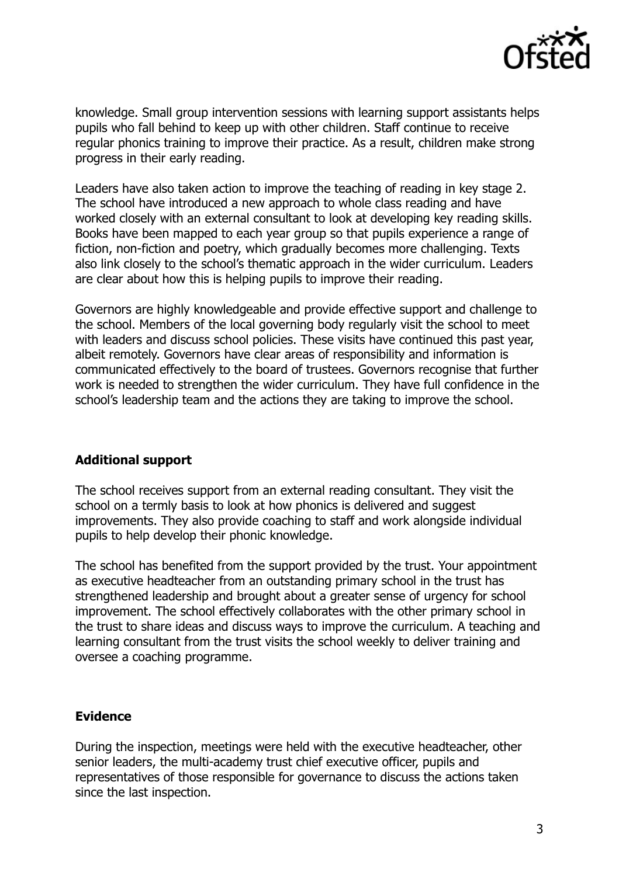

knowledge. Small group intervention sessions with learning support assistants helps pupils who fall behind to keep up with other children. Staff continue to receive regular phonics training to improve their practice. As a result, children make strong progress in their early reading.

Leaders have also taken action to improve the teaching of reading in key stage 2. The school have introduced a new approach to whole class reading and have worked closely with an external consultant to look at developing key reading skills. Books have been mapped to each year group so that pupils experience a range of fiction, non-fiction and poetry, which gradually becomes more challenging. Texts also link closely to the school's thematic approach in the wider curriculum. Leaders are clear about how this is helping pupils to improve their reading.

Governors are highly knowledgeable and provide effective support and challenge to the school. Members of the local governing body regularly visit the school to meet with leaders and discuss school policies. These visits have continued this past year, albeit remotely. Governors have clear areas of responsibility and information is communicated effectively to the board of trustees. Governors recognise that further work is needed to strengthen the wider curriculum. They have full confidence in the school's leadership team and the actions they are taking to improve the school.

## **Additional support**

The school receives support from an external reading consultant. They visit the school on a termly basis to look at how phonics is delivered and suggest improvements. They also provide coaching to staff and work alongside individual pupils to help develop their phonic knowledge.

The school has benefited from the support provided by the trust. Your appointment as executive headteacher from an outstanding primary school in the trust has strengthened leadership and brought about a greater sense of urgency for school improvement. The school effectively collaborates with the other primary school in the trust to share ideas and discuss ways to improve the curriculum. A teaching and learning consultant from the trust visits the school weekly to deliver training and oversee a coaching programme.

#### **Evidence**

During the inspection, meetings were held with the executive headteacher, other senior leaders, the multi-academy trust chief executive officer, pupils and representatives of those responsible for governance to discuss the actions taken since the last inspection.